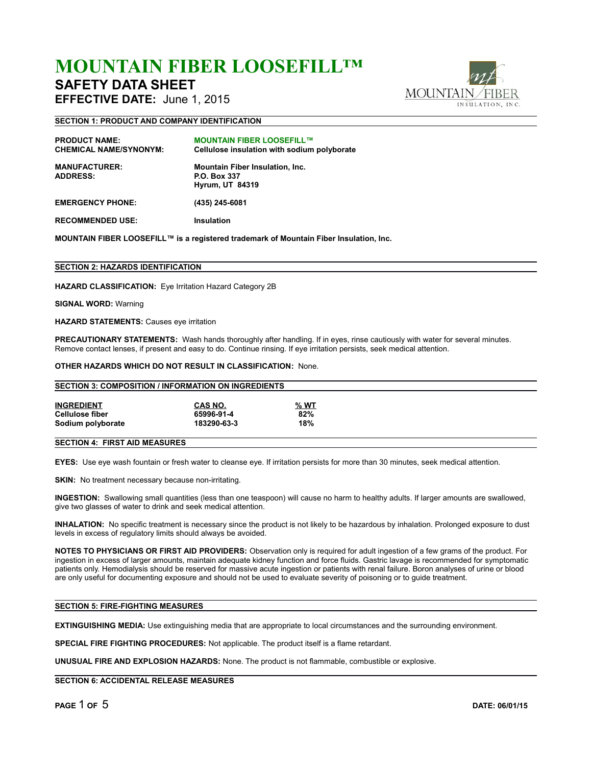# **MOUNTAIN FIBER LOOSEFILL™**

## **SAFETY DATA SHEET**

**EFFECTIVE DATE:** June 1, 2015

**SECTION 1: PRODUCT AND COMPANY IDENTIFICATION**



| <b>PRODUCT NAME:</b><br><b>CHEMICAL NAME/SYNONYM:</b><br><b>MANUFACTURER:</b> | <b>MOUNTAIN FIBER LOOSEFILL™</b><br>Cellulose insulation with sodium polyborate<br><b>Mountain Fiber Insulation, Inc.</b> |
|-------------------------------------------------------------------------------|---------------------------------------------------------------------------------------------------------------------------|
| <b>ADDRESS:</b>                                                               | <b>P.O. Box 337</b><br><b>Hyrum, UT 84319</b>                                                                             |
| <b>EMERGENCY PHONE:</b>                                                       | (435) 245-6081                                                                                                            |
| <b>RECOMMENDED USE:</b>                                                       | <b>Insulation</b>                                                                                                         |

**MOUNTAIN FIBER LOOSEFILL™ is a registered trademark of Mountain Fiber Insulation, Inc.**

### **SECTION 2: HAZARDS IDENTIFICATION**

**HAZARD CLASSIFICATION:** Eye Irritation Hazard Category 2B

**SIGNAL WORD:** Warning

**HAZARD STATEMENTS:** Causes eye irritation

**PRECAUTIONARY STATEMENTS:** Wash hands thoroughly after handling. If in eyes, rinse cautiously with water for several minutes. Remove contact lenses, if present and easy to do. Continue rinsing. If eye irritation persists, seek medical attention.

**OTHER HAZARDS WHICH DO NOT RESULT IN CLASSIFICATION:** None.

| <b>SECTION 3: COMPOSITION / INFORMATION ON INGREDIENTS</b> |             |      |  |  |  |
|------------------------------------------------------------|-------------|------|--|--|--|
| <b>INGREDIENT</b>                                          | CAS NO.     | % WT |  |  |  |
| <b>Cellulose fiber</b>                                     | 65996-91-4  | 82%  |  |  |  |
| Sodium polyborate                                          | 183290-63-3 | 18%  |  |  |  |
| --------                                                   |             |      |  |  |  |

### **SECTION 4: FIRST AID MEASURES**

**EYES:** Use eye wash fountain or fresh water to cleanse eye. If irritation persists for more than 30 minutes, seek medical attention.

**SKIN:** No treatment necessary because non-irritating.

**INGESTION:** Swallowing small quantities (less than one teaspoon) will cause no harm to healthy adults. If larger amounts are swallowed, give two glasses of water to drink and seek medical attention.

**INHALATION:** No specific treatment is necessary since the product is not likely to be hazardous by inhalation. Prolonged exposure to dust levels in excess of regulatory limits should always be avoided.

**NOTES TO PHYSICIANS OR FIRST AID PROVIDERS:** Observation only is required for adult ingestion of a few grams of the product. For ingestion in excess of larger amounts, maintain adequate kidney function and force fluids. Gastric lavage is recommended for symptomatic patients only. Hemodialysis should be reserved for massive acute ingestion or patients with renal failure. Boron analyses of urine or blood are only useful for documenting exposure and should not be used to evaluate severity of poisoning or to guide treatment.

### **SECTION 5: FIRE-FIGHTING MEASURES**

**EXTINGUISHING MEDIA:** Use extinguishing media that are appropriate to local circumstances and the surrounding environment.

**SPECIAL FIRE FIGHTING PROCEDURES:** Not applicable. The product itself is a flame retardant.

**UNUSUAL FIRE AND EXPLOSION HAZARDS:** None. The product is not flammable, combustible or explosive.

**SECTION 6: ACCIDENTAL RELEASE MEASURES**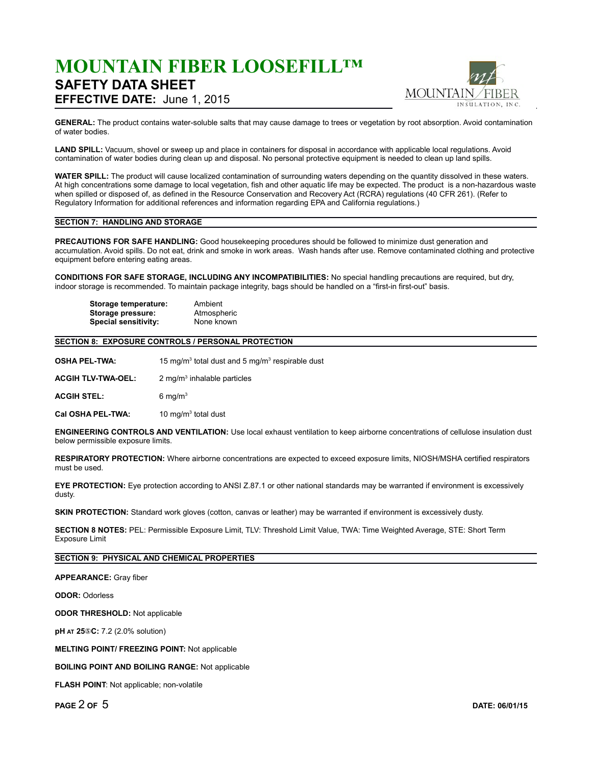## **MOUNTAIN FIBER LOOSEFILL™ SAFETY DATA SHEET EFFECTIVE DATE:** June 1, 2015



**GENERAL:** The product contains water-soluble salts that may cause damage to trees or vegetation by root absorption. Avoid contamination of water bodies.

**LAND SPILL:** Vacuum, shovel or sweep up and place in containers for disposal in accordance with applicable local regulations. Avoid contamination of water bodies during clean up and disposal. No personal protective equipment is needed to clean up land spills.

**WATER SPILL:** The product will cause localized contamination of surrounding waters depending on the quantity dissolved in these waters. At high concentrations some damage to local vegetation, fish and other aquatic life may be expected. The product is a non-hazardous waste when spilled or disposed of, as defined in the Resource Conservation and Recovery Act (RCRA) regulations (40 CFR 261). (Refer to Regulatory Information for additional references and information regarding EPA and California regulations.)

### **SECTION 7: HANDLING AND STORAGE**

**PRECAUTIONS FOR SAFE HANDLING:** Good housekeeping procedures should be followed to minimize dust generation and accumulation. Avoid spills. Do not eat, drink and smoke in work areas. Wash hands after use. Remove contaminated clothing and protective equipment before entering eating areas.

**CONDITIONS FOR SAFE STORAGE, INCLUDING ANY INCOMPATIBILITIES:** No special handling precautions are required, but dry, indoor storage is recommended. To maintain package integrity, bags should be handled on a "first-in first-out" basis.

| Storage temperature:        | Ambient     |
|-----------------------------|-------------|
| Storage pressure:           | Atmospheric |
| <b>Special sensitivity:</b> | None known  |

### **SECTION 8: EXPOSURE CONTROLS / PERSONAL PROTECTION**

**OSHA PEL-TWA:** total dust and 5 mg/ $m<sup>3</sup>$  respirable dust

**ACGIH TLV-TWA-OEL:**  $2$  mg/m $3$  inhalable particles

**ACGIH STEL:** 6 mg/m<sup>3</sup>

**Cal OSHA PEL-TWA:**  $10 \text{ mg/m}^3$  total dust

**ENGINEERING CONTROLS AND VENTILATION:** Use local exhaust ventilation to keep airborne concentrations of cellulose insulation dust below permissible exposure limits.

**RESPIRATORY PROTECTION:** Where airborne concentrations are expected to exceed exposure limits, NIOSH/MSHA certified respirators must be used.

**EYE PROTECTION:** Eye protection according to ANSI Z.87.1 or other national standards may be warranted if environment is excessively dusty.

**SKIN PROTECTION:** Standard work gloves (cotton, canvas or leather) may be warranted if environment is excessively dusty.

**SECTION 8 NOTES:** PEL: Permissible Exposure Limit, TLV: Threshold Limit Value, TWA: Time Weighted Average, STE: Short Term Exposure Limit

**SECTION 9: PHYSICAL AND CHEMICAL PROPERTIES**

**APPEARANCE:** Gray fiber

**ODOR:** Odorless

**ODOR THRESHOLD:** Not applicable

**pH AT 25 C :** 7.2 (2.0% solution)

**MELTING POINT/ FREEZING POINT:** Not applicable

**BOILING POINT AND BOILING RANGE:** Not applicable

**FLASH POINT**: Not applicable; non-volatile

**PAGE** 2 **OF** 5 **DATE: 06/01/15**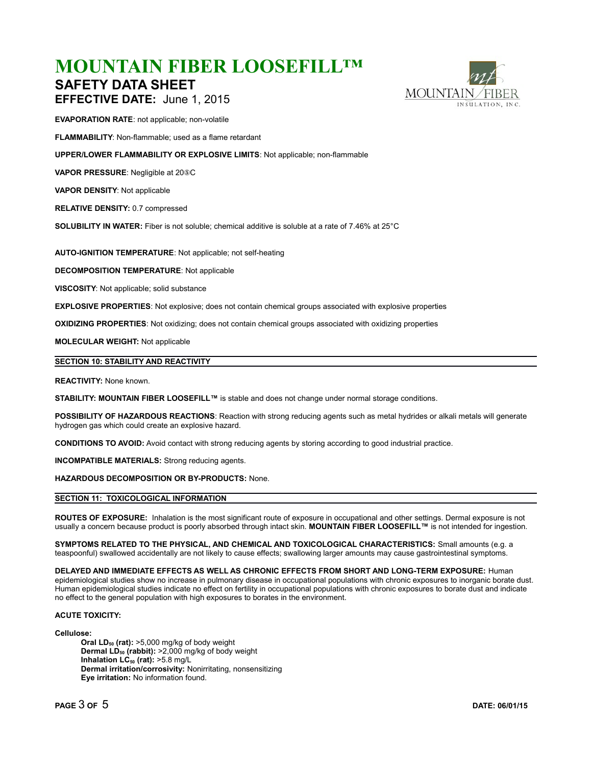## **MOUNTAIN FIBER LOOSEFILL™ SAFETY DATA SHEET**



**EFFECTIVE DATE:** June 1, 2015

**EVAPORATION RATE**: not applicable; non-volatile

**FLAMMABILITY**: Non-flammable; used as a flame retardant

**UPPER/LOWER FLAMMABILITY OR EXPLOSIVE LIMITS**: Not applicable; non-flammable

**VAPOR PRESSURE:** Negligible at 205C

**VAPOR DENSITY**: Not applicable

**RELATIVE DENSITY:** 0.7 compressed

**SOLUBILITY IN WATER:** Fiber is not soluble; chemical additive is soluble at a rate of 7.46% at 25°C

**AUTO-IGNITION TEMPERATURE**: Not applicable; not self-heating

**DECOMPOSITION TEMPERATURE**: Not applicable

**VISCOSITY**: Not applicable; solid substance

**EXPLOSIVE PROPERTIES**: Not explosive; does not contain chemical groups associated with explosive properties

**OXIDIZING PROPERTIES**: Not oxidizing; does not contain chemical groups associated with oxidizing properties

**MOLECULAR WEIGHT:** Not applicable

### **SECTION 10: STABILITY AND REACTIVITY**

#### **REACTIVITY:** None known.

**STABILITY: MOUNTAIN FIBER LOOSEFILL™** is stable and does not change under normal storage conditions.

**POSSIBILITY OF HAZARDOUS REACTIONS**: Reaction with strong reducing agents such as metal hydrides or alkali metals will generate hydrogen gas which could create an explosive hazard.

**CONDITIONS TO AVOID:** Avoid contact with strong reducing agents by storing according to good industrial practice.

**INCOMPATIBLE MATERIALS:** Strong reducing agents.

**HAZARDOUS DECOMPOSITION OR BY-PRODUCTS:** None.

### **SECTION 11: TOXICOLOGICAL INFORMATION**

**ROUTES OF EXPOSURE:** Inhalation is the most significant route of exposure in occupational and other settings. Dermal exposure is not usually a concern because product is poorly absorbed through intact skin. **MOUNTAIN FIBER LOOSEFILL™** is not intended for ingestion.

**SYMPTOMS RELATED TO THE PHYSICAL, AND CHEMICAL AND TOXICOLOGICAL CHARACTERISTICS:** Small amounts (e.g. a teaspoonful) swallowed accidentally are not likely to cause effects; swallowing larger amounts may cause gastrointestinal symptoms.

**DELAYED AND IMMEDIATE EFFECTS AS WELL AS CHRONIC EFFECTS FROM SHORT AND LONG-TERM EXPOSURE:** Human epidemiological studies show no increase in pulmonary disease in occupational populations with chronic exposures to inorganic borate dust. Human epidemiological studies indicate no effect on fertility in occupational populations with chronic exposures to borate dust and indicate no effect to the general population with high exposures to borates in the environment.

### **ACUTE TOXICITY:**

#### **Cellulose:**

**Oral LD50 (rat):** >5,000 mg/kg of body weight **Dermal LD50 (rabbit):** >2,000 mg/kg of body weight **Inhalation LC50 (rat):** >5.8 mg/L **Dermal irritation/corrosivity:** Nonirritating, nonsensitizing **Eye irritation:** No information found.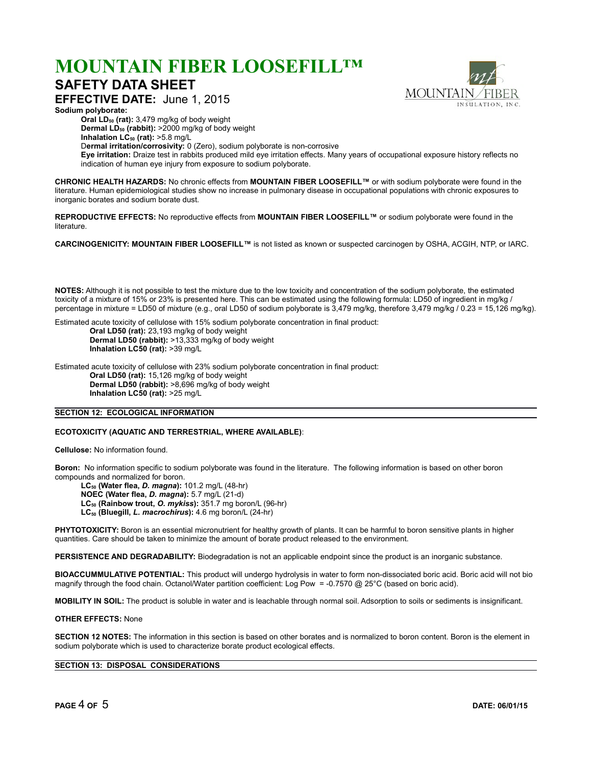## **MOUNTAIN FIBER LOOSEFILL™**

### **SAFETY DATA SHEET**

**MOUNTAIN** INSULATION, INC.

**EFFECTIVE DATE:** June 1, 2015 **Sodium polyborate:** 

**Oral LD50 (rat):** 3,479 mg/kg of body weight

**Dermal LD50 (rabbit):** >2000 mg/kg of body weight

**Inhalation LC50 (rat):** >5.8 mg/L

D**ermal irritation/corrosivity:** 0 (Zero), sodium polyborate is non-corrosive

**Eye irritation:** Draize test in rabbits produced mild eye irritation effects. Many years of occupational exposure history reflects no indication of human eye injury from exposure to sodium polyborate.

**CHRONIC HEALTH HAZARDS:** No chronic effects from **MOUNTAIN FIBER LOOSEFILL™** or with sodium polyborate were found in the literature. Human epidemiological studies show no increase in pulmonary disease in occupational populations with chronic exposures to inorganic borates and sodium borate dust.

**REPRODUCTIVE EFFECTS:** No reproductive effects from **MOUNTAIN FIBER LOOSEFILL™** or sodium polyborate were found in the literature.

**CARCINOGENICITY: MOUNTAIN FIBER LOOSEFILL™** is not listed as known or suspected carcinogen by OSHA, ACGIH, NTP, or IARC.

**NOTES:** Although it is not possible to test the mixture due to the low toxicity and concentration of the sodium polyborate, the estimated toxicity of a mixture of 15% or 23% is presented here. This can be estimated using the following formula: LD50 of ingredient in mg/kg / percentage in mixture = LD50 of mixture (e.g., oral LD50 of sodium polyborate is 3,479 mg/kg, therefore 3,479 mg/kg / 0.23 = 15,126 mg/kg).

Estimated acute toxicity of cellulose with 15% sodium polyborate concentration in final product: **Oral LD50 (rat):** 23,193 mg/kg of body weight **Dermal LD50 (rabbit):** >13,333 mg/kg of body weight **Inhalation LC50 (rat):** >39 mg/L

Estimated acute toxicity of cellulose with 23% sodium polyborate concentration in final product: **Oral LD50 (rat):** 15,126 mg/kg of body weight **Dermal LD50 (rabbit):** >8,696 mg/kg of body weight **Inhalation LC50 (rat):** >25 mg/L

### **SECTION 12: ECOLOGICAL INFORMATION**

### **ECOTOXICITY (AQUATIC AND TERRESTRIAL, WHERE AVAILABLE)**:

**Cellulose:** No information found.

**Boron:** No information specific to sodium polyborate was found in the literature. The following information is based on other boron compounds and normalized for boron.

**LC50 (Water flea,** *D. magna***):** 101.2 mg/L (48-hr) **NOEC (Water flea,** *D. magna***):** 5.7 mg/L (21-d) **LC50 (Rainbow trout,** *O. mykiss***):** 351.7 mg boron/L (96-hr) **LC50 (Bluegill,** *L. macrochirus***):** 4.6 mg boron/L (24-hr)

**PHYTOTOXICITY:** Boron is an essential micronutrient for healthy growth of plants. It can be harmful to boron sensitive plants in higher quantities. Care should be taken to minimize the amount of borate product released to the environment.

**PERSISTENCE AND DEGRADABILITY:** Biodegradation is not an applicable endpoint since the product is an inorganic substance.

**BIOACCUMMULATIVE POTENTIAL:** This product will undergo hydrolysis in water to form non-dissociated boric acid. Boric acid will not bio magnify through the food chain. Octanol/Water partition coefficient: Log Pow = -0.7570 @ 25°C (based on boric acid).

**MOBILITY IN SOIL:** The product is soluble in water and is leachable through normal soil. Adsorption to soils or sediments is insignificant.

### **OTHER EFFECTS:** None

**SECTION 12 NOTES:** The information in this section is based on other borates and is normalized to boron content. Boron is the element in sodium polyborate which is used to characterize borate product ecological effects.

### **SECTION 13: DISPOSAL CONSIDERATIONS**